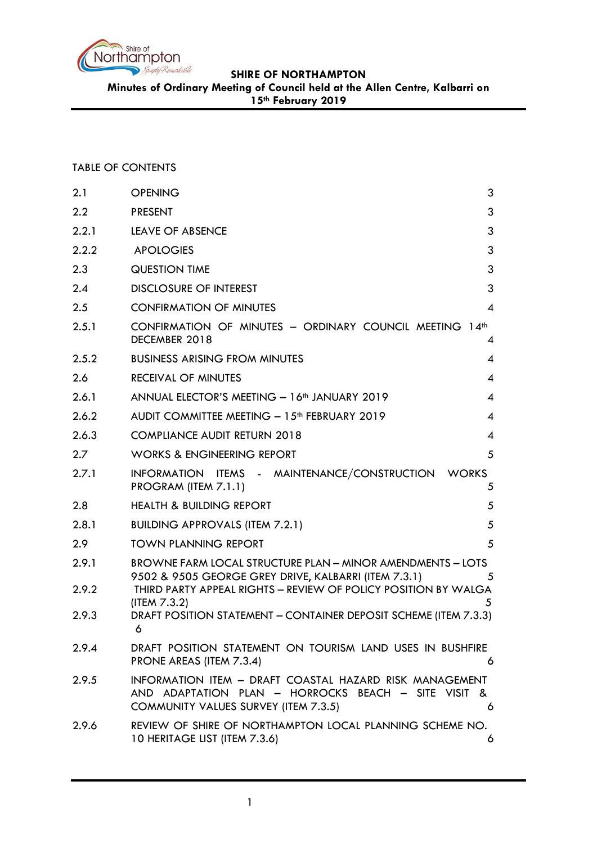

**Minutes of Ordinary Meeting of Council held at the Allen Centre, Kalbarri on** 

**15th February 2019**

## TABLE OF CONTENTS

| 2.1   | <b>OPENING</b><br>3                                                                                                                                                |
|-------|--------------------------------------------------------------------------------------------------------------------------------------------------------------------|
| 2.2   | 3<br><b>PRESENT</b>                                                                                                                                                |
| 2.2.1 | 3<br><b>LEAVE OF ABSENCE</b>                                                                                                                                       |
| 2.2.2 | 3<br><b>APOLOGIES</b>                                                                                                                                              |
| 2.3   | 3<br><b>QUESTION TIME</b>                                                                                                                                          |
| 2.4   | 3<br><b>DISCLOSURE OF INTEREST</b>                                                                                                                                 |
| 2.5   | <b>CONFIRMATION OF MINUTES</b><br>$\boldsymbol{\mathcal{A}}$                                                                                                       |
| 2.5.1 | CONFIRMATION OF MINUTES - ORDINARY COUNCIL MEETING 14th<br>DECEMBER 2018<br>4                                                                                      |
| 2.5.2 | <b>BUSINESS ARISING FROM MINUTES</b><br>$\overline{\mathcal{A}}$                                                                                                   |
| 2.6   | $\overline{4}$<br><b>RECEIVAL OF MINUTES</b>                                                                                                                       |
| 2.6.1 | ANNUAL ELECTOR'S MEETING - 16 <sup>th</sup> JANUARY 2019<br>$\overline{4}$                                                                                         |
| 2.6.2 | $\overline{4}$<br>AUDIT COMMITTEE MEETING - 15 <sup>th</sup> FEBRUARY 2019                                                                                         |
| 2.6.3 | <b>COMPLIANCE AUDIT RETURN 2018</b><br>$\overline{4}$                                                                                                              |
| 2.7   | <b>WORKS &amp; ENGINEERING REPORT</b><br>5                                                                                                                         |
| 2.7.1 | INFORMATION ITEMS - MAINTENANCE/CONSTRUCTION<br><b>WORKS</b><br>PROGRAM (ITEM 7.1.1)<br>5                                                                          |
| 2.8   | <b>HEALTH &amp; BUILDING REPORT</b><br>5                                                                                                                           |
| 2.8.1 | <b>BUILDING APPROVALS (ITEM 7.2.1)</b><br>5                                                                                                                        |
| 2.9   | <b>TOWN PLANNING REPORT</b><br>5                                                                                                                                   |
| 2.9.1 | <b>BROWNE FARM LOCAL STRUCTURE PLAN - MINOR AMENDMENTS - LOTS</b><br>9502 & 9505 GEORGE GREY DRIVE, KALBARRI (ITEM 7.3.1)<br>5                                     |
| 2.9.2 | THIRD PARTY APPEAL RIGHTS - REVIEW OF POLICY POSITION BY WALGA<br>(ITEM 7.3.2)<br>5                                                                                |
| 2.9.3 | DRAFT POSITION STATEMENT - CONTAINER DEPOSIT SCHEME (ITEM 7.3.3)<br>6                                                                                              |
| 2.9.4 | DRAFT POSITION STATEMENT ON TOURISM LAND USES IN BUSHFIRE<br>PRONE AREAS (ITEM 7.3.4)<br>6                                                                         |
| 2.9.5 | INFORMATION ITEM - DRAFT COASTAL HAZARD RISK MANAGEMENT<br>AND ADAPTATION PLAN - HORROCKS BEACH - SITE VISIT &<br><b>COMMUNITY VALUES SURVEY (ITEM 7.3.5)</b><br>6 |
| 2.9.6 | REVIEW OF SHIRE OF NORTHAMPTON LOCAL PLANNING SCHEME NO.<br>10 HERITAGE LIST (ITEM 7.3.6)<br>6                                                                     |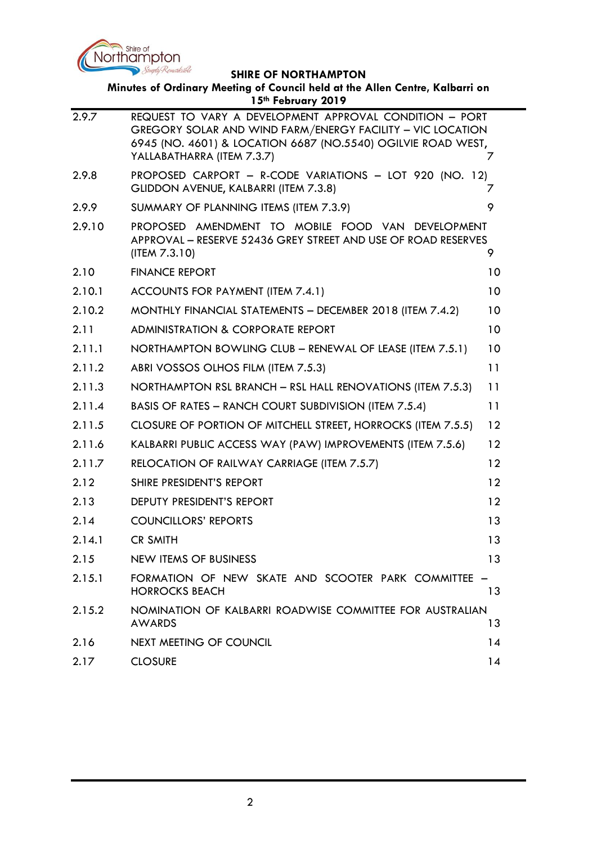

| Minutes of Ordinary Meeting of Council held at the Allen Centre, Kalbarri on<br>15th February 2019 |                                                                                                                                                                                                                     |    |  |  |
|----------------------------------------------------------------------------------------------------|---------------------------------------------------------------------------------------------------------------------------------------------------------------------------------------------------------------------|----|--|--|
| 2.9.7                                                                                              | REQUEST TO VARY A DEVELOPMENT APPROVAL CONDITION - PORT<br>GREGORY SOLAR AND WIND FARM/ENERGY FACILITY - VIC LOCATION<br>6945 (NO. 4601) & LOCATION 6687 (NO.5540) OGILVIE ROAD WEST,<br>YALLABATHARRA (ITEM 7.3.7) | 7  |  |  |
| 2.9.8                                                                                              | PROPOSED CARPORT - R-CODE VARIATIONS - LOT 920 (NO. 12)<br>GLIDDON AVENUE, KALBARRI (ITEM 7.3.8)                                                                                                                    | 7  |  |  |
| 2.9.9                                                                                              | SUMMARY OF PLANNING ITEMS (ITEM 7.3.9)                                                                                                                                                                              | 9  |  |  |
| 2.9.10                                                                                             | PROPOSED AMENDMENT TO MOBILE FOOD VAN DEVELOPMENT<br>APPROVAL - RESERVE 52436 GREY STREET AND USE OF ROAD RESERVES<br>(IFEM 7.3.10)                                                                                 | 9  |  |  |
| 2.10                                                                                               | <b>FINANCE REPORT</b>                                                                                                                                                                                               | 10 |  |  |
| 2.10.1                                                                                             | ACCOUNTS FOR PAYMENT (ITEM 7.4.1)                                                                                                                                                                                   | 10 |  |  |
| 2.10.2                                                                                             | MONTHLY FINANCIAL STATEMENTS - DECEMBER 2018 (ITEM 7.4.2)                                                                                                                                                           | 10 |  |  |
| 2.11                                                                                               | <b>ADMINISTRATION &amp; CORPORATE REPORT</b>                                                                                                                                                                        | 10 |  |  |
| 2.11.1                                                                                             | NORTHAMPTON BOWLING CLUB - RENEWAL OF LEASE (ITEM 7.5.1)                                                                                                                                                            | 10 |  |  |
| 2.11.2                                                                                             | ABRI VOSSOS OLHOS FILM (ITEM 7.5.3)                                                                                                                                                                                 | 11 |  |  |
| 2.11.3                                                                                             | NORTHAMPTON RSL BRANCH - RSL HALL RENOVATIONS (ITEM 7.5.3)                                                                                                                                                          | 11 |  |  |
| 2.11.4                                                                                             | BASIS OF RATES - RANCH COURT SUBDIVISION (ITEM 7.5.4)                                                                                                                                                               | 11 |  |  |
| 2.11.5                                                                                             | CLOSURE OF PORTION OF MITCHELL STREET, HORROCKS (ITEM 7.5.5)                                                                                                                                                        | 12 |  |  |
| 2.11.6                                                                                             | KALBARRI PUBLIC ACCESS WAY (PAW) IMPROVEMENTS (ITEM 7.5.6)                                                                                                                                                          | 12 |  |  |
| 2.11.7                                                                                             | RELOCATION OF RAILWAY CARRIAGE (ITEM 7.5.7)                                                                                                                                                                         | 12 |  |  |
| 2.12                                                                                               | SHIRE PRESIDENT'S REPORT                                                                                                                                                                                            | 12 |  |  |
| 2.13                                                                                               | DEPUTY PRESIDENT'S REPORT                                                                                                                                                                                           | 12 |  |  |
| 2.14                                                                                               | <b>COUNCILLORS' REPORTS</b>                                                                                                                                                                                         | 13 |  |  |
| 2.14.1                                                                                             | <b>CR SMITH</b>                                                                                                                                                                                                     | 13 |  |  |
| 2.15                                                                                               | <b>NEW ITEMS OF BUSINESS</b>                                                                                                                                                                                        | 13 |  |  |
| 2.15.1                                                                                             | FORMATION OF NEW SKATE AND SCOOTER PARK COMMITTEE -<br><b>HORROCKS BEACH</b>                                                                                                                                        | 13 |  |  |
| 2.15.2                                                                                             | NOMINATION OF KALBARRI ROADWISE COMMITTEE FOR AUSTRALIAN<br><b>AWARDS</b>                                                                                                                                           | 13 |  |  |
| 2.16                                                                                               | <b>NEXT MEETING OF COUNCIL</b>                                                                                                                                                                                      | 14 |  |  |
| 2.17                                                                                               | <b>CLOSURE</b>                                                                                                                                                                                                      | 14 |  |  |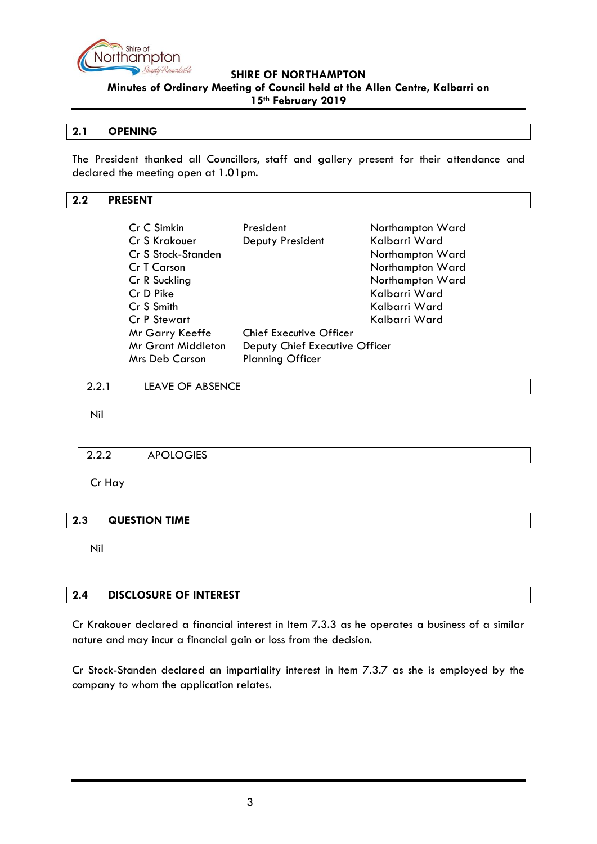

**Minutes of Ordinary Meeting of Council held at the Allen Centre, Kalbarri on** 

**15th February 2019**

### <span id="page-2-0"></span>**2.1 OPENING**

The President thanked all Councillors, staff and gallery present for their attendance and declared the meeting open at 1.01pm.

#### <span id="page-2-1"></span>**2.2 PRESENT**

| Cr C Simkin               | President                      | Northampton Ward |  |
|---------------------------|--------------------------------|------------------|--|
| Cr S Krakouer             | Deputy President               | Kalbarri Ward    |  |
| Cr S Stock-Standen        |                                | Northampton Ward |  |
| Cr T Carson               |                                | Northampton Ward |  |
| Cr R Suckling             |                                | Northampton Ward |  |
| Cr D Pike                 |                                | Kalbarri Ward    |  |
| Cr S Smith                |                                | Kalbarri Ward    |  |
| <b>Cr P Stewart</b>       |                                | Kalbarri Ward    |  |
| Mr Garry Keeffe           | <b>Chief Executive Officer</b> |                  |  |
| <b>Mr Grant Middleton</b> | Deputy Chief Executive Officer |                  |  |
| Mrs Deb Carson            | <b>Planning Officer</b>        |                  |  |
|                           |                                |                  |  |

<span id="page-2-2"></span>2.2.1 LEAVE OF ABSENCE

Nil

## <span id="page-2-3"></span>2.2.2 APOLOGIES

Cr Hay

#### <span id="page-2-4"></span>**2.3 QUESTION TIME**

Nil

### <span id="page-2-5"></span>**2.4 DISCLOSURE OF INTEREST**

Cr Krakouer declared a financial interest in Item 7.3.3 as he operates a business of a similar nature and may incur a financial gain or loss from the decision.

Cr Stock-Standen declared an impartiality interest in Item 7.3.7 as she is employed by the company to whom the application relates.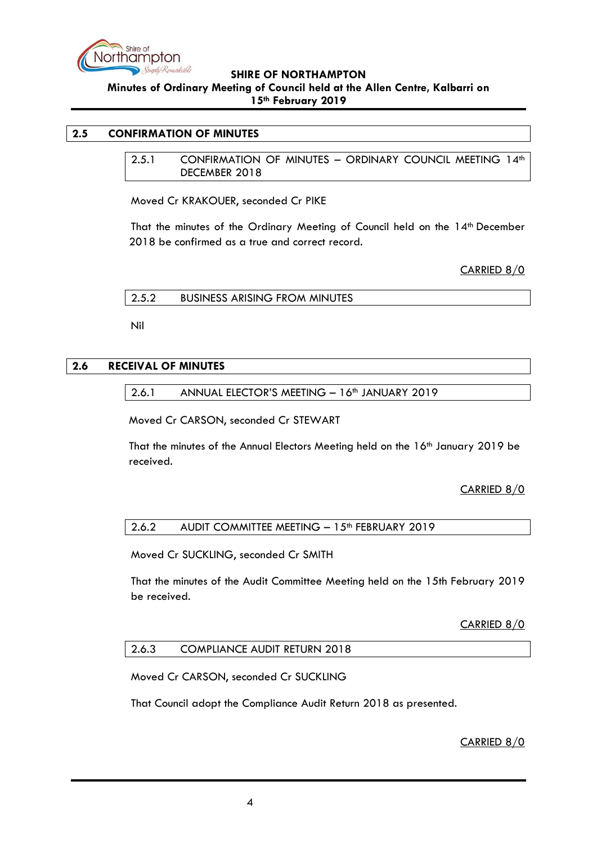

**Minutes of Ordinary Meeting of Council held at the Allen Centre, Kalbarri on 15th February 2019**

#### <span id="page-3-1"></span><span id="page-3-0"></span>**2.5 CONFIRMATION OF MINUTES**

2.5.1 CONFIRMATION OF MINUTES – ORDINARY COUNCIL MEETING 14th DECEMBER 2018

Moved Cr KRAKOUER, seconded Cr PIKE

That the minutes of the Ordinary Meeting of Council held on the 14<sup>th</sup> December 2018 be confirmed as a true and correct record.

CARRIED 8/0

<span id="page-3-2"></span>2.5.2 BUSINESS ARISING FROM MINUTES

Nil

#### <span id="page-3-4"></span><span id="page-3-3"></span>**2.6 RECEIVAL OF MINUTES**

2.6.1 ANNUAL ELECTOR'S MEETING - 16<sup>th</sup> JANUARY 2019

Moved Cr CARSON, seconded Cr STEWART

That the minutes of the Annual Electors Meeting held on the 16th January 2019 be received.

## CARRIED 8/0

#### <span id="page-3-5"></span>2.6.2 AUDIT COMMITTEE MEETING - 15<sup>th</sup> FEBRUARY 2019

Moved Cr SUCKLING, seconded Cr SMITH

That the minutes of the Audit Committee Meeting held on the 15th February 2019 be received.

CARRIED 8/0

#### <span id="page-3-6"></span>2.6.3 COMPLIANCE AUDIT RETURN 2018

Moved Cr CARSON, seconded Cr SUCKLING

That Council adopt the Compliance Audit Return 2018 as presented.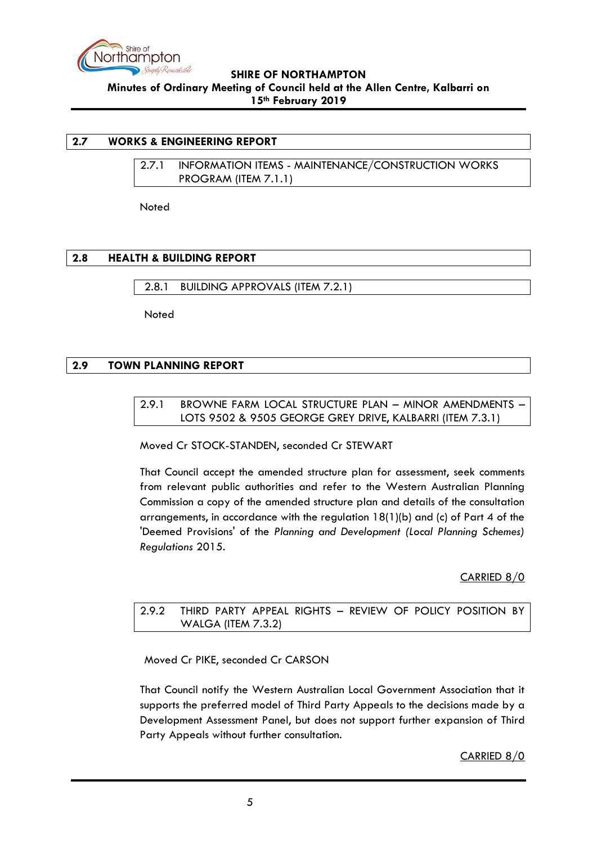

### <span id="page-4-1"></span><span id="page-4-0"></span>**2.7 WORKS & ENGINEERING REPORT**

2.7.1 INFORMATION ITEMS - MAINTENANCE/CONSTRUCTION WORKS PROGRAM (ITEM 7.1.1)

**Noted** 

## <span id="page-4-2"></span>**2.8 HEALTH & BUILDING REPORT**

<span id="page-4-3"></span>2.8.1 BUILDING APPROVALS (ITEM 7.2.1)

**Noted** 

## <span id="page-4-5"></span><span id="page-4-4"></span>**2.9 TOWN PLANNING REPORT**

### 2.9.1 BROWNE FARM LOCAL STRUCTURE PLAN – MINOR AMENDMENTS – LOTS 9502 & 9505 GEORGE GREY DRIVE, KALBARRI (ITEM 7.3.1)

Moved Cr STOCK-STANDEN, seconded Cr STEWART

That Council accept the amended structure plan for assessment, seek comments from relevant public authorities and refer to the Western Australian Planning Commission a copy of the amended structure plan and details of the consultation arrangements, in accordance with the regulation 18(1)(b) and (c) of Part 4 of the 'Deemed Provisions' of the *Planning and Development (Local Planning Schemes) Regulations* 2015.

## CARRIED 8/0

<span id="page-4-6"></span>2.9.2 THIRD PARTY APPEAL RIGHTS – REVIEW OF POLICY POSITION BY WALGA (ITEM 7.3.2)

Moved Cr PIKE, seconded Cr CARSON

That Council notify the Western Australian Local Government Association that it supports the preferred model of Third Party Appeals to the decisions made by a Development Assessment Panel, but does not support further expansion of Third Party Appeals without further consultation.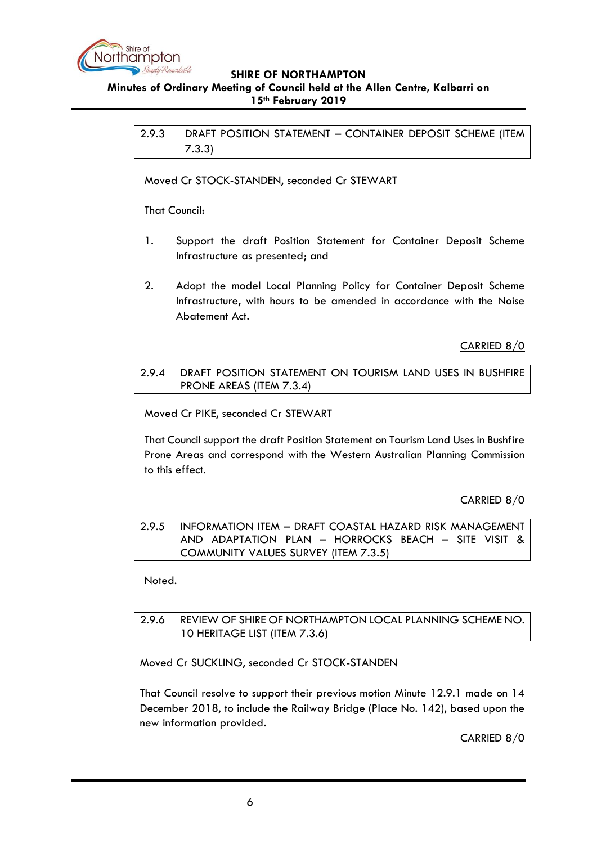

#### <span id="page-5-0"></span>**Minutes of Ordinary Meeting of Council held at the Allen Centre, Kalbarri on 15th February 2019**

2.9.3 DRAFT POSITION STATEMENT – CONTAINER DEPOSIT SCHEME (ITEM 7.3.3)

Moved Cr STOCK-STANDEN, seconded Cr STEWART

That Council:

- 1. Support the draft Position Statement for Container Deposit Scheme Infrastructure as presented; and
- 2. Adopt the model Local Planning Policy for Container Deposit Scheme Infrastructure, with hours to be amended in accordance with the Noise Abatement Act.

CARRIED 8/0

<span id="page-5-1"></span>2.9.4 DRAFT POSITION STATEMENT ON TOURISM LAND USES IN BUSHFIRE PRONE AREAS (ITEM 7.3.4)

Moved Cr PIKE, seconded Cr STEWART

That Council support the draft Position Statement on Tourism Land Uses in Bushfire Prone Areas and correspond with the Western Australian Planning Commission to this effect.

CARRIED 8/0

<span id="page-5-2"></span>2.9.5 INFORMATION ITEM – DRAFT COASTAL HAZARD RISK MANAGEMENT AND ADAPTATION PLAN – HORROCKS BEACH – SITE VISIT & COMMUNITY VALUES SURVEY (ITEM 7.3.5)

Noted.

<span id="page-5-3"></span>2.9.6 REVIEW OF SHIRE OF NORTHAMPTON LOCAL PLANNING SCHEME NO. 10 HERITAGE LIST (ITEM 7.3.6)

Moved Cr SUCKLING, seconded Cr STOCK-STANDEN

That Council resolve to support their previous motion Minute 12.9.1 made on 14 December 2018, to include the Railway Bridge (Place No. 142), based upon the new information provided**.**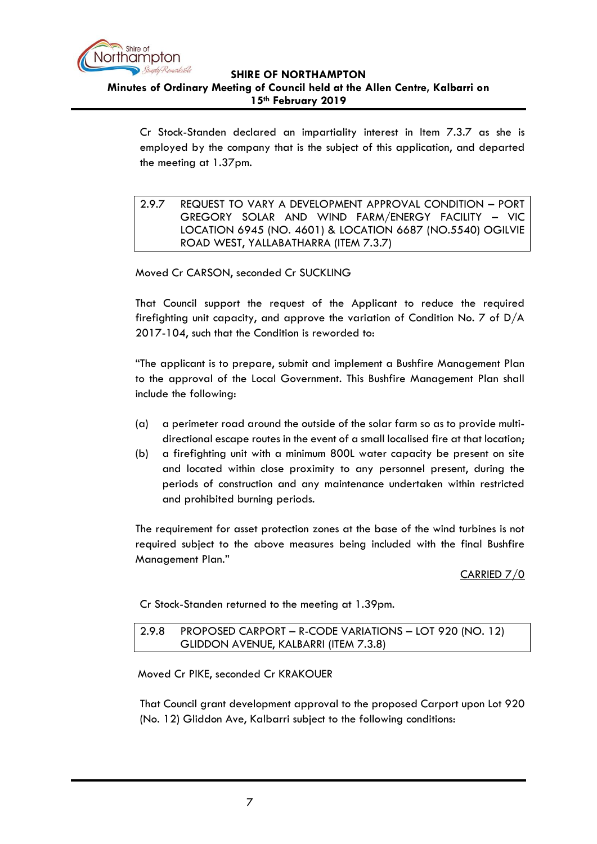

Cr Stock-Standen declared an impartiality interest in Item 7.3.7 as she is employed by the company that is the subject of this application, and departed the meeting at 1.37pm.

<span id="page-6-0"></span>2.9.7 REQUEST TO VARY A DEVELOPMENT APPROVAL CONDITION – PORT GREGORY SOLAR AND WIND FARM/ENERGY FACILITY – VIC LOCATION 6945 (NO. 4601) & LOCATION 6687 (NO.5540) OGILVIE ROAD WEST, YALLABATHARRA (ITEM 7.3.7)

Moved Cr CARSON, seconded Cr SUCKLING

That Council support the request of the Applicant to reduce the required firefighting unit capacity, and approve the variation of Condition No. 7 of D/A 2017-104, such that the Condition is reworded to:

"The applicant is to prepare, submit and implement a Bushfire Management Plan to the approval of the Local Government. This Bushfire Management Plan shall include the following:

- (a) a perimeter road around the outside of the solar farm so as to provide multidirectional escape routes in the event of a small localised fire at that location;
- (b) a firefighting unit with a minimum 800L water capacity be present on site and located within close proximity to any personnel present, during the periods of construction and any maintenance undertaken within restricted and prohibited burning periods.

The requirement for asset protection zones at the base of the wind turbines is not required subject to the above measures being included with the final Bushfire Management Plan."

CARRIED 7/0

Cr Stock-Standen returned to the meeting at 1.39pm.

#### <span id="page-6-1"></span>2.9.8 PROPOSED CARPORT – R-CODE VARIATIONS – LOT 920 (NO. 12) GLIDDON AVENUE, KALBARRI (ITEM 7.3.8)

Moved Cr PIKE, seconded Cr KRAKOUER

That Council grant development approval to the proposed Carport upon Lot 920 (No. 12) Gliddon Ave, Kalbarri subject to the following conditions: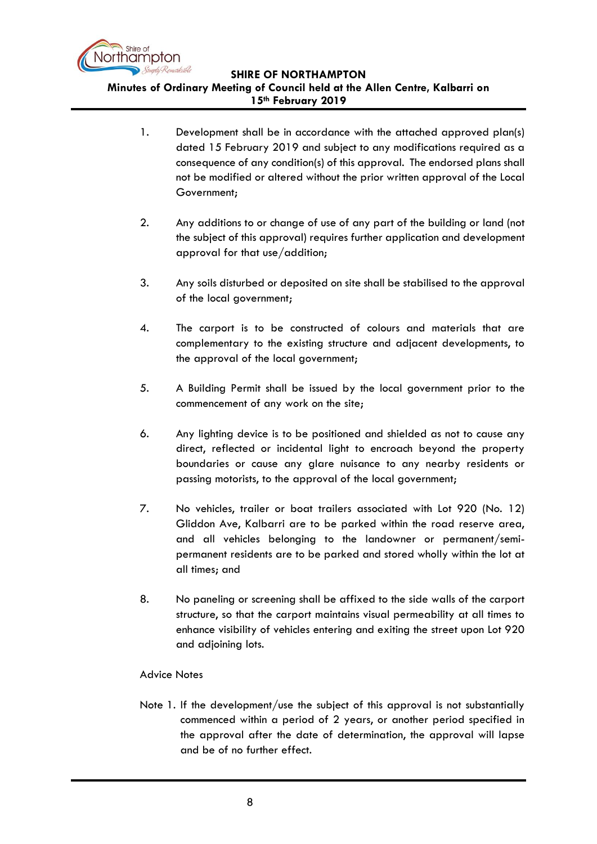

- 1. Development shall be in accordance with the attached approved plan(s) dated 15 February 2019 and subject to any modifications required as a consequence of any condition(s) of this approval. The endorsed plans shall not be modified or altered without the prior written approval of the Local Government;
- 2. Any additions to or change of use of any part of the building or land (not the subject of this approval) requires further application and development approval for that use/addition;
- 3. Any soils disturbed or deposited on site shall be stabilised to the approval of the local government;
- 4. The carport is to be constructed of colours and materials that are complementary to the existing structure and adjacent developments, to the approval of the local government;
- 5. A Building Permit shall be issued by the local government prior to the commencement of any work on the site;
- 6. Any lighting device is to be positioned and shielded as not to cause any direct, reflected or incidental light to encroach beyond the property boundaries or cause any glare nuisance to any nearby residents or passing motorists, to the approval of the local government;
- 7. No vehicles, trailer or boat trailers associated with Lot 920 (No. 12) Gliddon Ave, Kalbarri are to be parked within the road reserve area, and all vehicles belonging to the landowner or permanent/semipermanent residents are to be parked and stored wholly within the lot at all times; and
- 8. No paneling or screening shall be affixed to the side walls of the carport structure, so that the carport maintains visual permeability at all times to enhance visibility of vehicles entering and exiting the street upon Lot 920 and adjoining lots.

## Advice Notes

Note 1. If the development/use the subject of this approval is not substantially commenced within a period of 2 years, or another period specified in the approval after the date of determination, the approval will lapse and be of no further effect.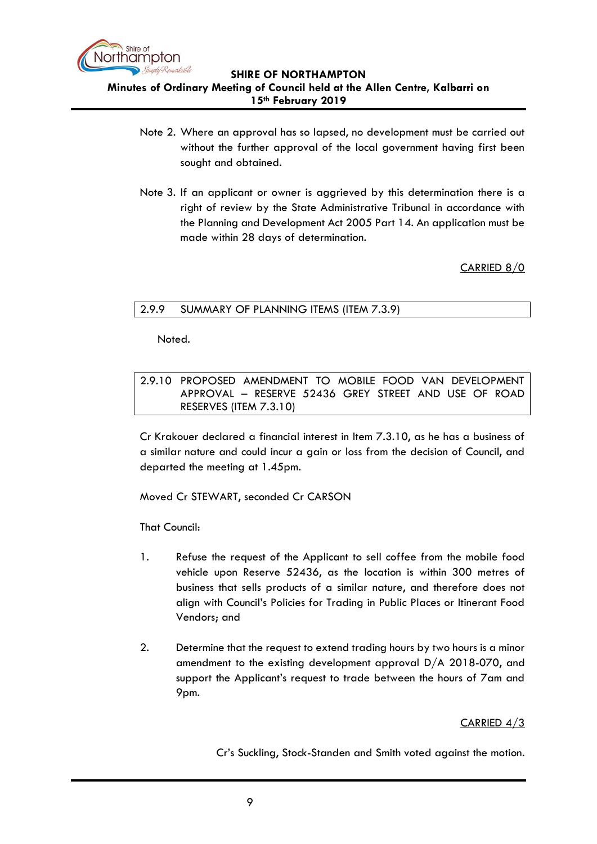

- Note 2. Where an approval has so lapsed, no development must be carried out without the further approval of the local government having first been sought and obtained.
- Note 3. If an applicant or owner is aggrieved by this determination there is a right of review by the State Administrative Tribunal in accordance with the Planning and Development Act 2005 Part 14. An application must be made within 28 days of determination.

CARRIED 8/0

## <span id="page-8-0"></span>2.9.9 SUMMARY OF PLANNING ITEMS (ITEM 7.3.9)

Noted.

<span id="page-8-1"></span>2.9.10 PROPOSED AMENDMENT TO MOBILE FOOD VAN DEVELOPMENT APPROVAL – RESERVE 52436 GREY STREET AND USE OF ROAD RESERVES (ITEM 7.3.10)

Cr Krakouer declared a financial interest in Item 7.3.10, as he has a business of a similar nature and could incur a gain or loss from the decision of Council, and departed the meeting at 1.45pm.

Moved Cr STEWART, seconded Cr CARSON

That Council:

- 1. Refuse the request of the Applicant to sell coffee from the mobile food vehicle upon Reserve 52436, as the location is within 300 metres of business that sells products of a similar nature, and therefore does not align with Council's Policies for Trading in Public Places or Itinerant Food Vendors; and
- 2. Determine that the request to extend trading hours by two hours is a minor amendment to the existing development approval D/A 2018-070, and support the Applicant's request to trade between the hours of 7am and 9pm.

## CARRIED 4/3

Cr's Suckling, Stock-Standen and Smith voted against the motion.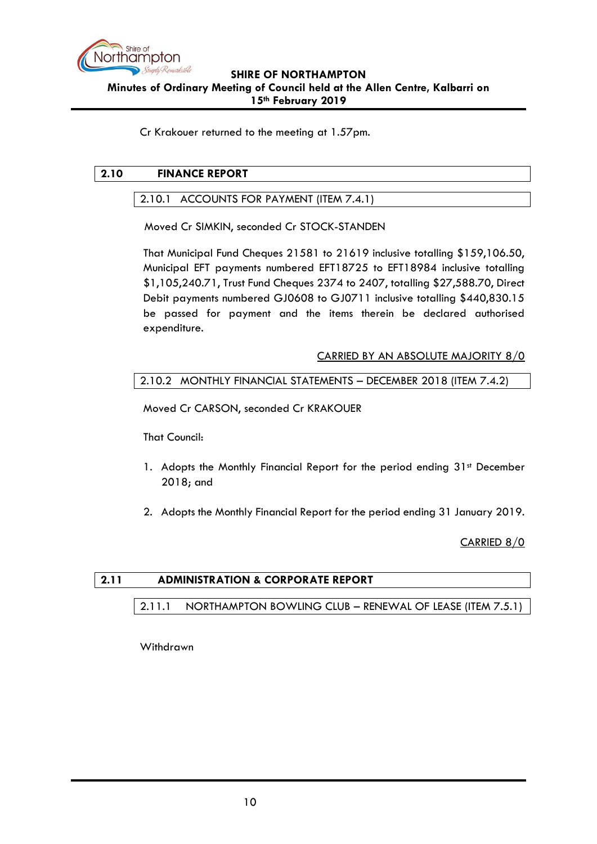

Cr Krakouer returned to the meeting at 1.57pm.

# <span id="page-9-1"></span><span id="page-9-0"></span>**2.10 FINANCE REPORT**

### 2.10.1 ACCOUNTS FOR PAYMENT (ITEM 7.4.1)

Moved Cr SIMKIN, seconded Cr STOCK-STANDEN

That Municipal Fund Cheques 21581 to 21619 inclusive totalling \$159,106.50, Municipal EFT payments numbered EFT18725 to EFT18984 inclusive totalling \$1,105,240.71, Trust Fund Cheques 2374 to 2407, totalling \$27,588.70, Direct Debit payments numbered GJ0608 to GJ0711 inclusive totalling \$440,830.15 be passed for payment and the items therein be declared authorised expenditure.

## CARRIED BY AN ABSOLUTE MAJORITY 8/0

#### <span id="page-9-2"></span>2.10.2 MONTHLY FINANCIAL STATEMENTS – DECEMBER 2018 (ITEM 7.4.2)

Moved Cr CARSON, seconded Cr KRAKOUER

That Council:

- 1. Adopts the Monthly Financial Report for the period ending 31st December 2018; and
- 2. Adopts the Monthly Financial Report for the period ending 31 January 2019.

CARRIED 8/0

## <span id="page-9-4"></span><span id="page-9-3"></span>**2.11 ADMINISTRATION & CORPORATE REPORT**

2.11.1 NORTHAMPTON BOWLING CLUB – RENEWAL OF LEASE (ITEM 7.5.1)

Withdrawn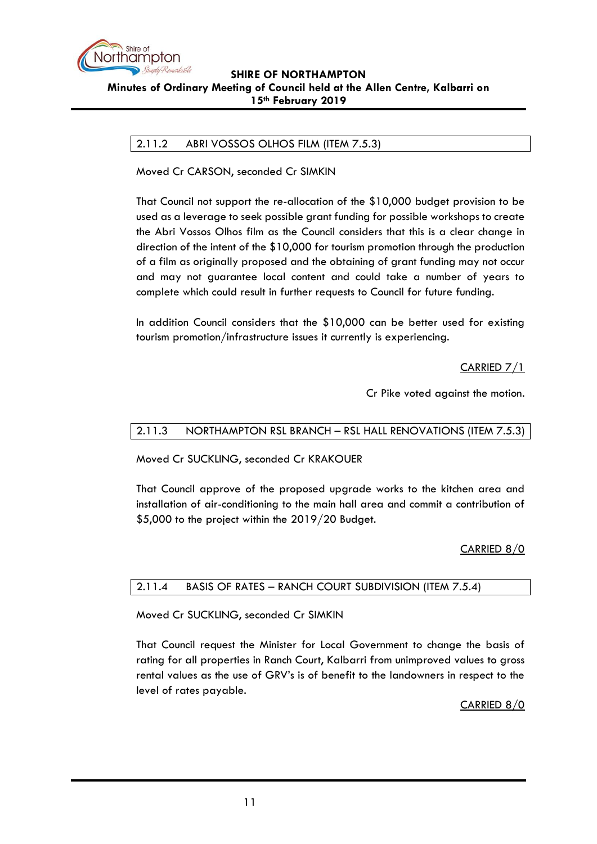

# <span id="page-10-0"></span>2.11.2 ABRI VOSSOS OLHOS FILM (ITEM 7.5.3)

Moved Cr CARSON, seconded Cr SIMKIN

That Council not support the re-allocation of the \$10,000 budget provision to be used as a leverage to seek possible grant funding for possible workshops to create the Abri Vossos Olhos film as the Council considers that this is a clear change in direction of the intent of the \$10,000 for tourism promotion through the production of a film as originally proposed and the obtaining of grant funding may not occur and may not guarantee local content and could take a number of years to complete which could result in further requests to Council for future funding.

In addition Council considers that the \$10,000 can be better used for existing tourism promotion/infrastructure issues it currently is experiencing.

CARRIED 7/1

Cr Pike voted against the motion.

## <span id="page-10-1"></span>2.11.3 NORTHAMPTON RSL BRANCH – RSL HALL RENOVATIONS (ITEM 7.5.3)

Moved Cr SUCKLING, seconded Cr KRAKOUER

That Council approve of the proposed upgrade works to the kitchen area and installation of air-conditioning to the main hall area and commit a contribution of \$5,000 to the project within the 2019/20 Budget.

## CARRIED 8/0

## <span id="page-10-2"></span>2.11.4 BASIS OF RATES – RANCH COURT SUBDIVISION (ITEM 7.5.4)

Moved Cr SUCKLING, seconded Cr SIMKIN

That Council request the Minister for Local Government to change the basis of rating for all properties in Ranch Court, Kalbarri from unimproved values to gross rental values as the use of GRV's is of benefit to the landowners in respect to the level of rates payable.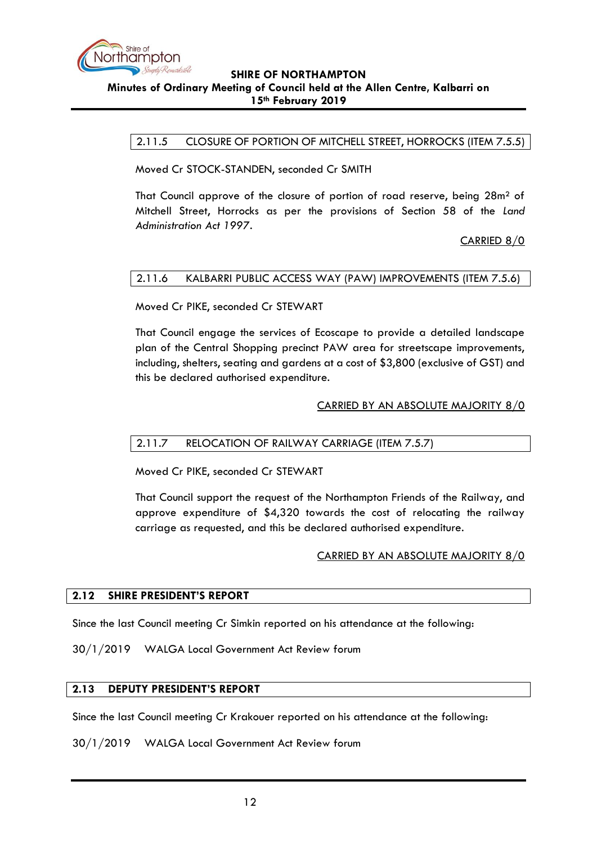

<span id="page-11-0"></span>2.11.5 CLOSURE OF PORTION OF MITCHELL STREET, HORROCKS (ITEM 7.5.5)

Moved Cr STOCK-STANDEN, seconded Cr SMITH

That Council approve of the closure of portion of road reserve, being 28m² of Mitchell Street, Horrocks as per the provisions of Section 58 of the *Land Administration Act 1997*.

CARRIED 8/0

#### <span id="page-11-1"></span>2.11.6 KALBARRI PUBLIC ACCESS WAY (PAW) IMPROVEMENTS (ITEM 7.5.6)

Moved Cr PIKE, seconded Cr STEWART

That Council engage the services of Ecoscape to provide a detailed landscape plan of the Central Shopping precinct PAW area for streetscape improvements, including, shelters, seating and gardens at a cost of \$3,800 (exclusive of GST) and this be declared authorised expenditure.

#### CARRIED BY AN ABSOLUTE MAJORITY 8/0

## <span id="page-11-2"></span>2.11.7 RELOCATION OF RAILWAY CARRIAGE (ITEM 7.5.7)

Moved Cr PIKE, seconded Cr STEWART

That Council support the request of the Northampton Friends of the Railway, and approve expenditure of \$4,320 towards the cost of relocating the railway carriage as requested, and this be declared authorised expenditure.

#### CARRIED BY AN ABSOLUTE MAJORITY 8/0

#### <span id="page-11-3"></span>**2.12 SHIRE PRESIDENT'S REPORT**

Since the last Council meeting Cr Simkin reported on his attendance at the following:

30/1/2019 WALGA Local Government Act Review forum

### <span id="page-11-4"></span>**2.13 DEPUTY PRESIDENT'S REPORT**

Since the last Council meeting Cr Krakouer reported on his attendance at the following:

30/1/2019 WALGA Local Government Act Review forum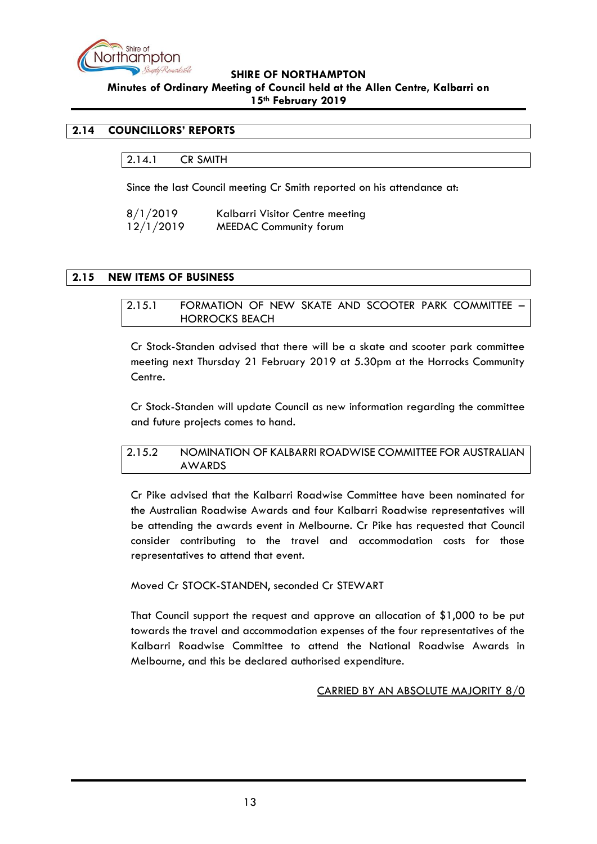

#### **Minutes of Ordinary Meeting of Council held at the Allen Centre, Kalbarri on 15th February 2019**

## <span id="page-12-1"></span><span id="page-12-0"></span>**2.14 COUNCILLORS' REPORTS**

2.14.1 CR SMITH

Since the last Council meeting Cr Smith reported on his attendance at:

| 8/1/2019  | Kalbarri Visitor Centre meeting |
|-----------|---------------------------------|
| 12/1/2019 | <b>MEEDAC Community forum</b>   |

### <span id="page-12-3"></span><span id="page-12-2"></span>**2.15 NEW ITEMS OF BUSINESS**

#### 2.15.1 FORMATION OF NEW SKATE AND SCOOTER PARK COMMITTEE – HORROCKS BEACH

Cr Stock-Standen advised that there will be a skate and scooter park committee meeting next Thursday 21 February 2019 at 5.30pm at the Horrocks Community Centre.

Cr Stock-Standen will update Council as new information regarding the committee and future projects comes to hand.

#### <span id="page-12-4"></span>2.15.2 NOMINATION OF KALBARRI ROADWISE COMMITTEE FOR AUSTRALIAN AWARDS

Cr Pike advised that the Kalbarri Roadwise Committee have been nominated for the Australian Roadwise Awards and four Kalbarri Roadwise representatives will be attending the awards event in Melbourne. Cr Pike has requested that Council consider contributing to the travel and accommodation costs for those representatives to attend that event.

#### Moved Cr STOCK-STANDEN, seconded Cr STEWART

That Council support the request and approve an allocation of \$1,000 to be put towards the travel and accommodation expenses of the four representatives of the Kalbarri Roadwise Committee to attend the National Roadwise Awards in Melbourne, and this be declared authorised expenditure.

#### CARRIED BY AN ABSOLUTE MAJORITY 8/0